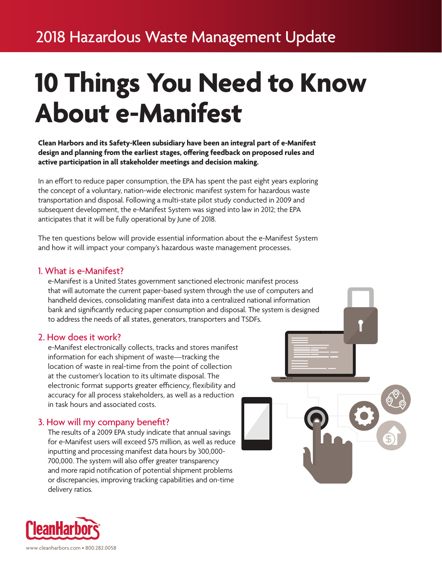# **10 Things You Need to Know About e-Manifest**

#### **Clean Harbors and its Safety-Kleen subsidiary have been an integral part of e-Manifest design and planning from the earliest stages, offering feedback on proposed rules and active participation in all stakeholder meetings and decision making.**

In an effort to reduce paper consumption, the EPA has spent the past eight years exploring the concept of a voluntary, nation-wide electronic manifest system for hazardous waste transportation and disposal. Following a multi-state pilot study conducted in 2009 and subsequent development, the e-Manifest System was signed into law in 2012; the EPA anticipates that it will be fully operational by June of 2018.

The ten questions below will provide essential information about the e-Manifest System and how it will impact your company's hazardous waste management processes.

# 1. What is e-Manifest?

e-Manifest is a United States government sanctioned electronic manifest process that will automate the current paper-based system through the use of computers and handheld devices, consolidating manifest data into a centralized national information bank and significantly reducing paper consumption and disposal. The system is designed to address the needs of all states, generators, transporters and TSDFs.

## 2. How does it work?

e-Manifest electronically collects, tracks and stores manifest information for each shipment of waste—tracking the location of waste in real-time from the point of collection at the customer's location to its ultimate disposal. The electronic format supports greater efficiency, flexibility and accuracy for all process stakeholders, as well as a reduction in task hours and associated costs.

# 3. How will my company benefit?

The results of a 2009 EPA study indicate that annual savings for e-Manifest users will exceed \$75 million, as well as reduce inputting and processing manifest data hours by 300,000- 700,000. The system will also offer greater transparency and more rapid notification of potential shipment problems or discrepancies, improving tracking capabilities and on-time delivery ratios.



www.cleanharbors.com • 800.282.0058